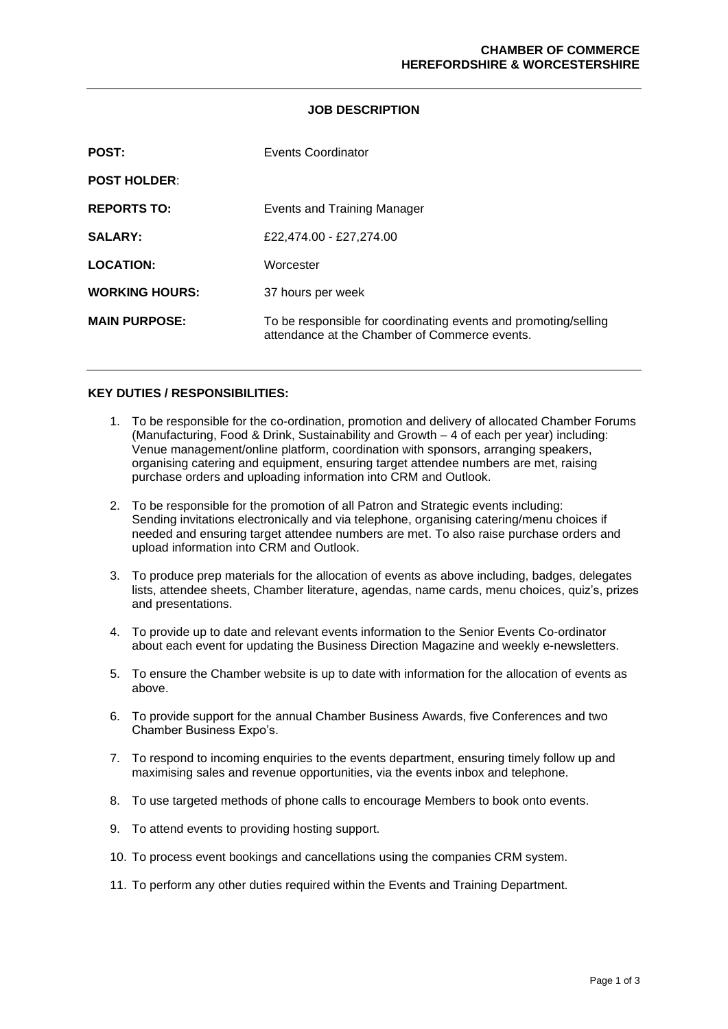#### **JOB DESCRIPTION**

| <b>POST:</b>          | Events Coordinator                                                                                               |
|-----------------------|------------------------------------------------------------------------------------------------------------------|
| <b>POST HOLDER:</b>   |                                                                                                                  |
| <b>REPORTS TO:</b>    | Events and Training Manager                                                                                      |
| <b>SALARY:</b>        | £22,474.00 - £27,274.00                                                                                          |
| <b>LOCATION:</b>      | Worcester                                                                                                        |
| <b>WORKING HOURS:</b> | 37 hours per week                                                                                                |
| <b>MAIN PURPOSE:</b>  | To be responsible for coordinating events and promoting/selling<br>attendance at the Chamber of Commerce events. |

## **KEY DUTIES / RESPONSIBILITIES:**

- 1. To be responsible for the co-ordination, promotion and delivery of allocated Chamber Forums (Manufacturing, Food & Drink, Sustainability and Growth – 4 of each per year) including: Venue management/online platform, coordination with sponsors, arranging speakers, organising catering and equipment, ensuring target attendee numbers are met, raising purchase orders and uploading information into CRM and Outlook.
- 2. To be responsible for the promotion of all Patron and Strategic events including: Sending invitations electronically and via telephone, organising catering/menu choices if needed and ensuring target attendee numbers are met. To also raise purchase orders and upload information into CRM and Outlook.
- 3. To produce prep materials for the allocation of events as above including, badges, delegates lists, attendee sheets, Chamber literature, agendas, name cards, menu choices, quiz's, prizes and presentations.
- 4. To provide up to date and relevant events information to the Senior Events Co-ordinator about each event for updating the Business Direction Magazine and weekly e-newsletters.
- 5. To ensure the Chamber website is up to date with information for the allocation of events as above.
- 6. To provide support for the annual Chamber Business Awards, five Conferences and two Chamber Business Expo's.
- 7. To respond to incoming enquiries to the events department, ensuring timely follow up and maximising sales and revenue opportunities, via the events inbox and telephone.
- 8. To use targeted methods of phone calls to encourage Members to book onto events.
- 9. To attend events to providing hosting support.
- 10. To process event bookings and cancellations using the companies CRM system.
- 11. To perform any other duties required within the Events and Training Department.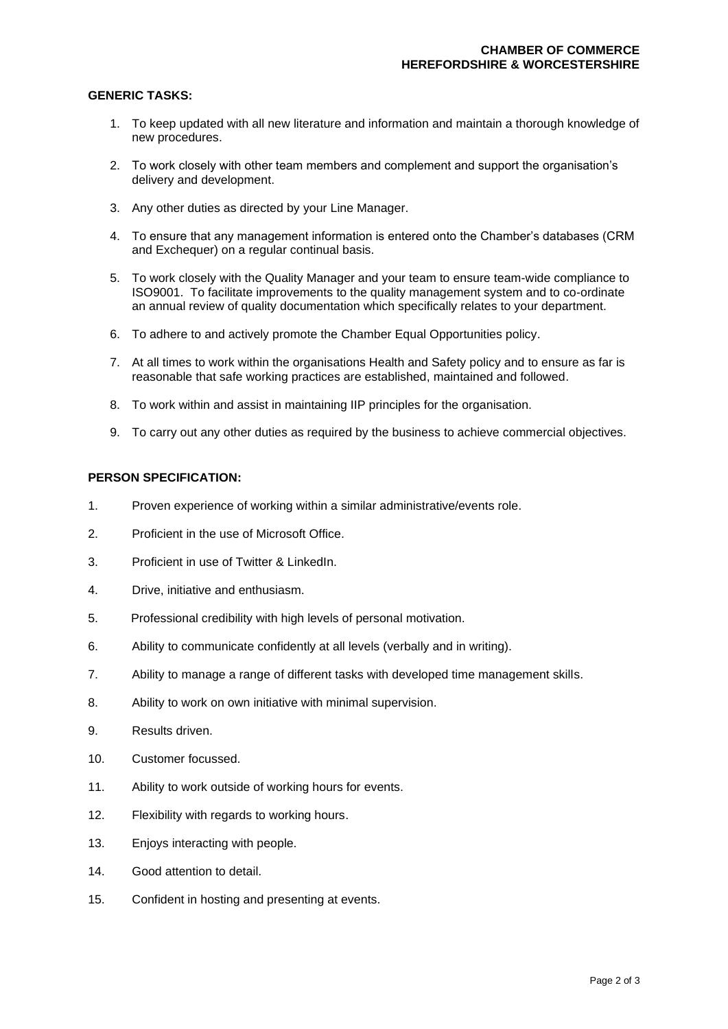#### **GENERIC TASKS:**

- 1. To keep updated with all new literature and information and maintain a thorough knowledge of new procedures.
- 2. To work closely with other team members and complement and support the organisation's delivery and development.
- 3. Any other duties as directed by your Line Manager.
- 4. To ensure that any management information is entered onto the Chamber's databases (CRM and Exchequer) on a regular continual basis.
- 5. To work closely with the Quality Manager and your team to ensure team-wide compliance to ISO9001. To facilitate improvements to the quality management system and to co-ordinate an annual review of quality documentation which specifically relates to your department.
- 6. To adhere to and actively promote the Chamber Equal Opportunities policy.
- 7. At all times to work within the organisations Health and Safety policy and to ensure as far is reasonable that safe working practices are established, maintained and followed.
- 8. To work within and assist in maintaining IIP principles for the organisation.
- 9. To carry out any other duties as required by the business to achieve commercial objectives.

## **PERSON SPECIFICATION:**

- 1. Proven experience of working within a similar administrative/events role.
- 2. Proficient in the use of Microsoft Office.
- 3. Proficient in use of Twitter & LinkedIn.
- 4. Drive, initiative and enthusiasm.
- 5. Professional credibility with high levels of personal motivation.
- 6. Ability to communicate confidently at all levels (verbally and in writing).
- 7. Ability to manage a range of different tasks with developed time management skills.
- 8. Ability to work on own initiative with minimal supervision.
- 9. Results driven.
- 10. Customer focussed.
- 11. Ability to work outside of working hours for events.
- 12. Flexibility with regards to working hours.
- 13. Enjoys interacting with people.
- 14. Good attention to detail.
- 15. Confident in hosting and presenting at events.